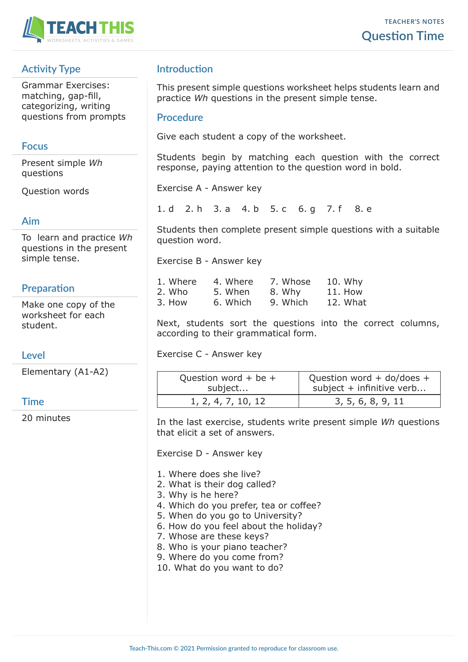

# **Activity Type**

Grammar Exercises: matching, gap-fill, categorizing, writing questions from prompts

#### **Focus**

Present simple *Wh* questions

Question words

#### **Aim**

To learn and practice *Wh* questions in the present simple tense.

# **Preparation**

Make one copy of the worksheet for each student.

#### **Level**

Elementary (A1-A2)

#### **Time**

20 minutes

# **Introduction**

This present simple questions worksheet helps students learn and practice *Wh* questions in the present simple tense.

#### **Procedure**

Give each student a copy of the worksheet.

Students begin by matching each question with the correct response, paying attention to the question word in bold.

Exercise A - Answer key

1. d 2. h 3. a 4. b 5. c 6. g 7. f 8. e

Students then complete present simple questions with a suitable question word.

Exercise B - Answer key

| 1. Where | 4. Where | 7. Whose | 10. Why  |
|----------|----------|----------|----------|
| 2. Who   | 5. When  | 8. Why   | 11. How  |
| 3. How   | 6. Which | 9. Which | 12. What |

Next, students sort the questions into the correct columns, according to their grammatical form.

Exercise C - Answer key

| -AZ) | Question word + be +<br>subject | Question word + do/does +<br>subject + infinitive verb |
|------|---------------------------------|--------------------------------------------------------|
|      | 1, 2, 4, 7, 10, 12              | 3, 5, 6, 8, 9, 11                                      |

In the last exercise, students write present simple *Wh* questions that elicit a set of answers.

Exercise D - Answer key

- 1. Where does she live?
- 2. What is their dog called?
- 3. Why is he here?
- 4. Which do you prefer, tea or coffee?
- 5. When do you go to University?
- 6. How do you feel about the holiday?
- 7. Whose are these keys?
- 8. Who is your piano teacher?
- 9. Where do you come from?
- 10. What do you want to do?